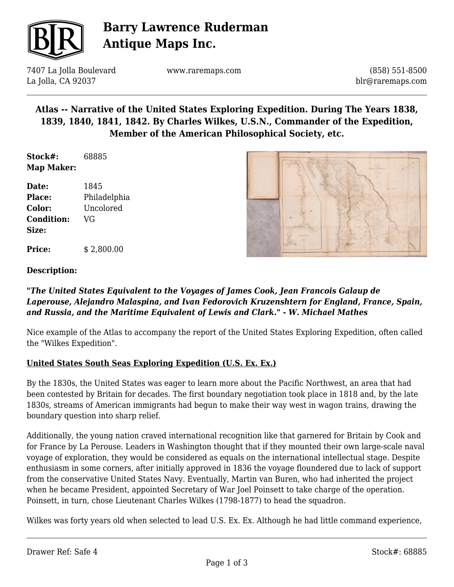

# **Barry Lawrence Ruderman Antique Maps Inc.**

7407 La Jolla Boulevard La Jolla, CA 92037

www.raremaps.com

(858) 551-8500 blr@raremaps.com

## **Atlas -- Narrative of the United States Exploring Expedition. During The Years 1838, 1839, 1840, 1841, 1842. By Charles Wilkes, U.S.N., Commander of the Expedition, Member of the American Philosophical Society, etc.**

**Stock#:** 68885 **Map Maker:**

**Date:** 1845 **Place:** Philadelphia **Color:** Uncolored **Condition:** VG **Size:**

**Price:**  $$ 2,800.00$ 



#### **Description:**

#### *"The United States Equivalent to the Voyages of James Cook, Jean Francois Galaup de Laperouse, Alejandro Malaspina, and Ivan Fedorovich Kruzenshtern for England, France, Spain, and Russia, and the Maritime Equivalent of Lewis and Clark." - W. Michael Mathes*

Nice example of the Atlas to accompany the report of the United States Exploring Expedition, often called the "Wilkes Expedition".

### **United States South Seas Exploring Expedition (U.S. Ex. Ex.)**

By the 1830s, the United States was eager to learn more about the Pacific Northwest, an area that had been contested by Britain for decades. The first boundary negotiation took place in 1818 and, by the late 1830s, streams of American immigrants had begun to make their way west in wagon trains, drawing the boundary question into sharp relief.

Additionally, the young nation craved international recognition like that garnered for Britain by Cook and for France by La Perouse. Leaders in Washington thought that if they mounted their own large-scale naval voyage of exploration, they would be considered as equals on the international intellectual stage. Despite enthusiasm in some corners, after initially approved in 1836 the voyage floundered due to lack of support from the conservative United States Navy. Eventually, Martin van Buren, who had inherited the project when he became President, appointed Secretary of War Joel Poinsett to take charge of the operation. Poinsett, in turn, chose Lieutenant Charles Wilkes (1798-1877) to head the squadron.

Wilkes was forty years old when selected to lead U.S. Ex. Ex. Although he had little command experience,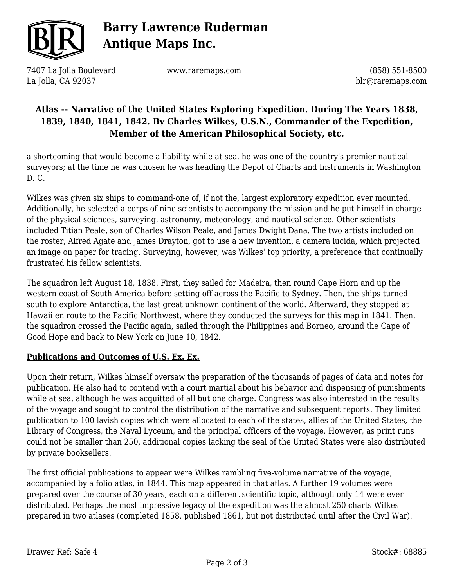

# **Barry Lawrence Ruderman Antique Maps Inc.**

7407 La Jolla Boulevard La Jolla, CA 92037

www.raremaps.com

(858) 551-8500 blr@raremaps.com

## **Atlas -- Narrative of the United States Exploring Expedition. During The Years 1838, 1839, 1840, 1841, 1842. By Charles Wilkes, U.S.N., Commander of the Expedition, Member of the American Philosophical Society, etc.**

a shortcoming that would become a liability while at sea, he was one of the country's premier nautical surveyors; at the time he was chosen he was heading the Depot of Charts and Instruments in Washington D. C.

Wilkes was given six ships to command-one of, if not the, largest exploratory expedition ever mounted. Additionally, he selected a corps of nine scientists to accompany the mission and he put himself in charge of the physical sciences, surveying, astronomy, meteorology, and nautical science. Other scientists included Titian Peale, son of Charles Wilson Peale, and James Dwight Dana. The two artists included on the roster, Alfred Agate and James Drayton, got to use a new invention, a camera lucida, which projected an image on paper for tracing. Surveying, however, was Wilkes' top priority, a preference that continually frustrated his fellow scientists.

The squadron left August 18, 1838. First, they sailed for Madeira, then round Cape Horn and up the western coast of South America before setting off across the Pacific to Sydney. Then, the ships turned south to explore Antarctica, the last great unknown continent of the world. Afterward, they stopped at Hawaii en route to the Pacific Northwest, where they conducted the surveys for this map in 1841. Then, the squadron crossed the Pacific again, sailed through the Philippines and Borneo, around the Cape of Good Hope and back to New York on June 10, 1842.

### **Publications and Outcomes of U.S. Ex. Ex.**

Upon their return, Wilkes himself oversaw the preparation of the thousands of pages of data and notes for publication. He also had to contend with a court martial about his behavior and dispensing of punishments while at sea, although he was acquitted of all but one charge. Congress was also interested in the results of the voyage and sought to control the distribution of the narrative and subsequent reports. They limited publication to 100 lavish copies which were allocated to each of the states, allies of the United States, the Library of Congress, the Naval Lyceum, and the principal officers of the voyage. However, as print runs could not be smaller than 250, additional copies lacking the seal of the United States were also distributed by private booksellers.

The first official publications to appear were Wilkes rambling five-volume narrative of the voyage, accompanied by a folio atlas, in 1844. This map appeared in that atlas. A further 19 volumes were prepared over the course of 30 years, each on a different scientific topic, although only 14 were ever distributed. Perhaps the most impressive legacy of the expedition was the almost 250 charts Wilkes prepared in two atlases (completed 1858, published 1861, but not distributed until after the Civil War).